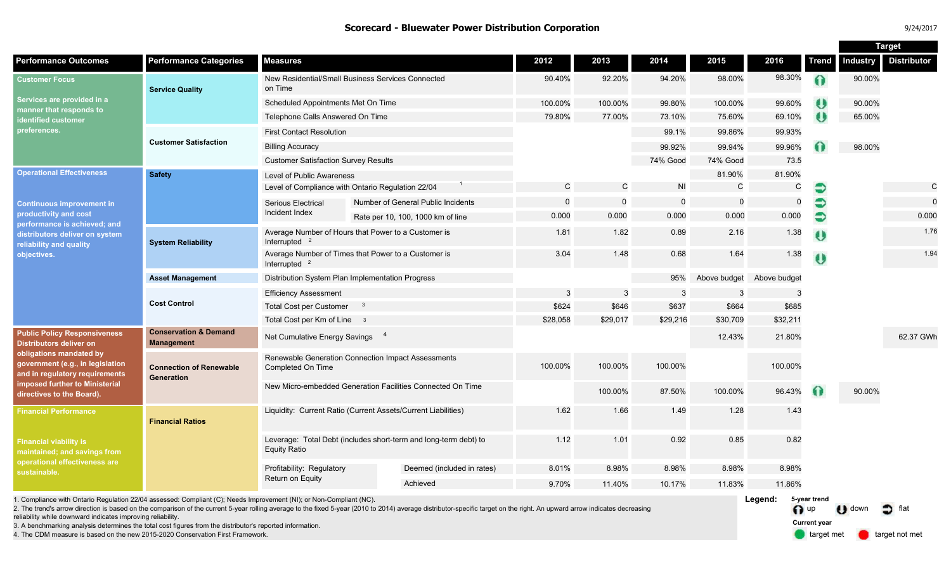### **Scorecard - Bluewater Power Distribution Corporation** 9/24/2017

|                                                                                                                                                                                                                                       |                                                       |                                                                                         |  |                                    |              |              |           |              |              |              | Target          |                    |
|---------------------------------------------------------------------------------------------------------------------------------------------------------------------------------------------------------------------------------------|-------------------------------------------------------|-----------------------------------------------------------------------------------------|--|------------------------------------|--------------|--------------|-----------|--------------|--------------|--------------|-----------------|--------------------|
| <b>Performance Outcomes</b>                                                                                                                                                                                                           | <b>Performance Categories</b>                         | <b>Measures</b>                                                                         |  |                                    | 2012         | 2013         | 2014      | 2015         | 2016         | <b>Trend</b> | <b>Industry</b> | <b>Distributor</b> |
| <b>Customer Focus</b><br>Services are provided in a<br>manner that responds to<br><b>identified customer</b><br>preferences.                                                                                                          | <b>Service Quality</b>                                | New Residential/Small Business Services Connected<br>on Time                            |  |                                    | 90.40%       | 92.20%       | 94.20%    | 98.00%       | 98.30%       |              | 90.00%          |                    |
|                                                                                                                                                                                                                                       |                                                       | Scheduled Appointments Met On Time                                                      |  |                                    | 100.00%      | 100.00%      | 99.80%    | 100.00%      | 99.60%       | U            | 90.00%          |                    |
|                                                                                                                                                                                                                                       |                                                       | Telephone Calls Answered On Time                                                        |  |                                    | 79.80%       | 77.00%       | 73.10%    | 75.60%       | 69.10%       | ω            | 65.00%          |                    |
|                                                                                                                                                                                                                                       | <b>Customer Satisfaction</b>                          | <b>First Contact Resolution</b>                                                         |  |                                    |              |              | 99.1%     | 99.86%       | 99.93%       |              |                 |                    |
|                                                                                                                                                                                                                                       |                                                       | <b>Billing Accuracy</b>                                                                 |  |                                    |              |              | 99.92%    | 99.94%       | 99.96%       |              | 98.00%          |                    |
|                                                                                                                                                                                                                                       |                                                       | <b>Customer Satisfaction Survey Results</b>                                             |  |                                    |              |              | 74% Good  | 74% Good     | 73.5         |              |                 |                    |
| <b>Operational Effectiveness</b><br><b>Continuous improvement in</b><br>productivity and cost<br>performance is achieved; and<br>distributors deliver on system<br>reliability and quality<br>objectives.                             | <b>Safety</b>                                         | Level of Public Awareness                                                               |  |                                    |              |              |           | 81.90%       | 81.90%       |              |                 |                    |
|                                                                                                                                                                                                                                       |                                                       | Level of Compliance with Ontario Regulation 22/04                                       |  |                                    | $\mathsf{C}$ | $\mathsf{C}$ | <b>NI</b> | $\mathsf{C}$ | $\mathsf{C}$ | €            |                 | C                  |
|                                                                                                                                                                                                                                       |                                                       | Serious Electrical                                                                      |  | Number of General Public Incidents | $\Omega$     | $\mathsf{o}$ | $\Omega$  | $\Omega$     | $\mathbf 0$  | €            |                 | $\Omega$           |
|                                                                                                                                                                                                                                       |                                                       | Incident Index                                                                          |  | Rate per 10, 100, 1000 km of line  | 0.000        | 0.000        | 0.000     | 0.000        | 0.000        | €            |                 | 0.000              |
|                                                                                                                                                                                                                                       | <b>System Reliability</b>                             | Average Number of Hours that Power to a Customer is<br>Interrupted $2$                  |  |                                    | 1.81         | 1.82         | 0.89      | 2.16         | 1.38         | Ü            |                 | 1.76               |
|                                                                                                                                                                                                                                       |                                                       | Average Number of Times that Power to a Customer is<br>Interrupted $2$                  |  |                                    | 3.04         | 1.48         | 0.68      | 1.64         | 1.38         | U            |                 | 1.94               |
|                                                                                                                                                                                                                                       | <b>Asset Management</b>                               | Distribution System Plan Implementation Progress                                        |  |                                    |              |              | 95%       | Above budget | Above budget |              |                 |                    |
|                                                                                                                                                                                                                                       | <b>Cost Control</b>                                   | <b>Efficiency Assessment</b>                                                            |  |                                    | -3           | 3            | 3         | 3            | 3            |              |                 |                    |
|                                                                                                                                                                                                                                       |                                                       | <b>Total Cost per Customer</b><br>$\overline{\mathbf{3}}$                               |  |                                    | \$624        | \$646        | \$637     | \$664        | \$685        |              |                 |                    |
|                                                                                                                                                                                                                                       |                                                       | Total Cost per Km of Line 3                                                             |  |                                    | \$28,058     | \$29,017     | \$29,216  | \$30,709     | \$32,211     |              |                 |                    |
| <b>Public Policy Responsiveness</b><br><b>Distributors deliver on</b><br>obligations mandated by<br>government (e.g., in legislation<br>and in regulatory requirements<br>imposed further to Ministerial<br>directives to the Board). | <b>Conservation &amp; Demand</b><br><b>Management</b> | Net Cumulative Energy Savings 4                                                         |  |                                    |              |              |           | 12.43%       | 21.80%       |              |                 | 62.37 GWh          |
|                                                                                                                                                                                                                                       | <b>Connection of Renewable</b><br>Generation          | Renewable Generation Connection Impact Assessments<br>Completed On Time                 |  |                                    | 100.00%      | 100.00%      | 100.00%   |              | 100.00%      |              |                 |                    |
|                                                                                                                                                                                                                                       |                                                       | New Micro-embedded Generation Facilities Connected On Time                              |  |                                    |              | 100.00%      | 87.50%    | 100.00%      | 96.43%       | $\bullet$    | 90.00%          |                    |
| <b>Financial Performance</b>                                                                                                                                                                                                          | <b>Financial Ratios</b>                               | Liquidity: Current Ratio (Current Assets/Current Liabilities)                           |  |                                    | 1.62         | 1.66         | 1.49      | 1.28         | 1.43         |              |                 |                    |
| <b>Financial viability is</b><br>maintained; and savings from<br>operational effectiveness are<br>sustainable.                                                                                                                        |                                                       | Leverage: Total Debt (includes short-term and long-term debt) to<br><b>Equity Ratio</b> |  |                                    | 1.12         | 1.01         | 0.92      | 0.85         | 0.82         |              |                 |                    |
|                                                                                                                                                                                                                                       |                                                       | Profitability: Regulatory<br>Return on Equity                                           |  | Deemed (included in rates)         | 8.01%        | 8.98%        | 8.98%     | 8.98%        | 8.98%        |              |                 |                    |
|                                                                                                                                                                                                                                       |                                                       |                                                                                         |  | Achieved                           | 9.70%        | 11.40%       | 10.17%    | 11.83%       | 11.86%       |              |                 |                    |

1. Compliance with Ontario Regulation 22/04 assessed: Compliant (C); Needs Improvement (NI); or Non-Compliant (NC).

2. The trend's arrow direction is based on the comparison of the current 5-year rolling average to the fixed 5-year (2010 to 2014) average distributor-specific target on the right. An upward arrow indicates decreasing reliability while downward indicates improving reliability.

3. A benchmarking analysis determines the total cost figures from the distributor's reported information.

4. The CDM measure is based on the new 2015-2020 Conservation First Framework.

**Legend:** n up U down of flat **5-year trend Current year**

target met **target not met**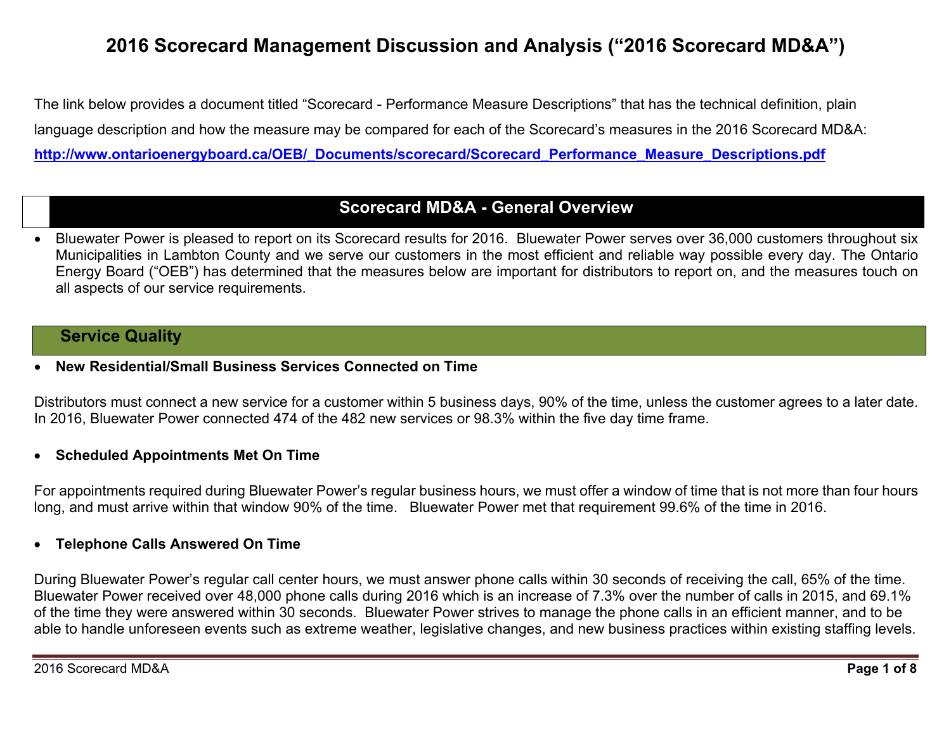# **2016 Scorecard Management Discussion and Analysis ("2016 Scorecard MD&A")**

The link below provides a document titled "Scorecard - Performance Measure Descriptions" that has the technical definition, plain language description and how the measure may be compared for each of the Scorecard's measures in the 2016 Scorecard MD&A: **http://www.ontarioenergyboard.ca/OEB/\_Documents/scorecard/Scorecard\_Performance\_Measure\_Descriptions.pdf** 

## **Scorecard MD&A - General Overview**

 Bluewater Power is pleased to report on its Scorecard results for 2016. Bluewater Power serves over 36,000 customers throughout six Municipalities in Lambton County and we serve our customers in the most efficient and reliable way possible every day. The Ontario Energy Board ("OEB") has determined that the measures below are important for distributors to report on, and the measures touch on all aspects of our service requirements.

## **Service Quality**

0 **New Residential/Small Business Services Connected on Time** 

Distributors must connect a new service for a customer within 5 business days, 90% of the time, unless the customer agrees to a later date. In 2016, Bluewater Power connected 474 of the 482 new services or 98.3% within the five day time frame.

## **Scheduled Appointments Met On Time**

For appointments required during Bluewater Power's regular business hours, we must offer a window of time that is not more than four hours long, and must arrive within that window 90% of the time. Bluewater Power met that requirement 99.6% of the time in 2016.

## **Telephone Calls Answered On Time**

During Bluewater Power's regular call center hours, we must answer phone calls within 30 seconds of receiving the call, 65% of the time. Bluewater Power received over 48,000 phone calls during 2016 which is an increase of 7.3% over the number of calls in 2015, and 69.1% of the time they were answered within 30 seconds. Bluewater Power strives to manage the phone calls in an efficient manner, and to be able to handle unforeseen events such as extreme weather, legislative changes, and new business practices within existing staffing levels.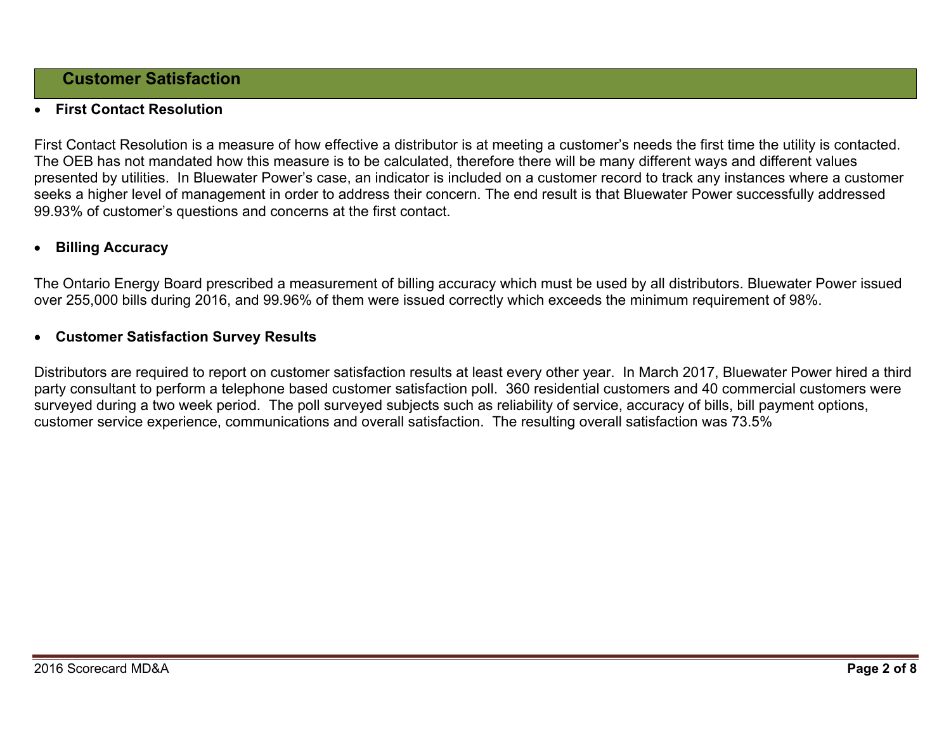## **Customer Satisfaction**

#### 0 **First Contact Resolution**

First Contact Resolution is a measure of how effective a distributor is at meeting a customer's needs the first time the utility is contacted. The OEB has not mandated how this measure is to be calculated, therefore there will be many different ways and different values presented by utilities. In Bluewater Power's case, an indicator is included on a customer record to track any instances where a customer seeks a higher level of management in order to address their concern. The end result is that Bluewater Power successfully addressed 99.93% of customer's questions and concerns at the first contact.

#### 0 **Billing Accuracy**

The Ontario Energy Board prescribed a measurement of billing accuracy which must be used by all distributors. Bluewater Power issued over 255,000 bills during 2016, and 99.96% of them were issued correctly which exceeds the minimum requirement of 98%.

### **Customer Satisfaction Survey Results**

Distributors are required to report on customer satisfaction results at least every other year. In March 2017, Bluewater Power hired a third party consultant to perform a telephone based customer satisfaction poll. 360 residential customers and 40 commercial customers were surveyed during a two week period. The poll surveyed subjects such as reliability of service, accuracy of bills, bill payment options, customer service experience, communications and overall satisfaction. The resulting overall satisfaction was 73.5%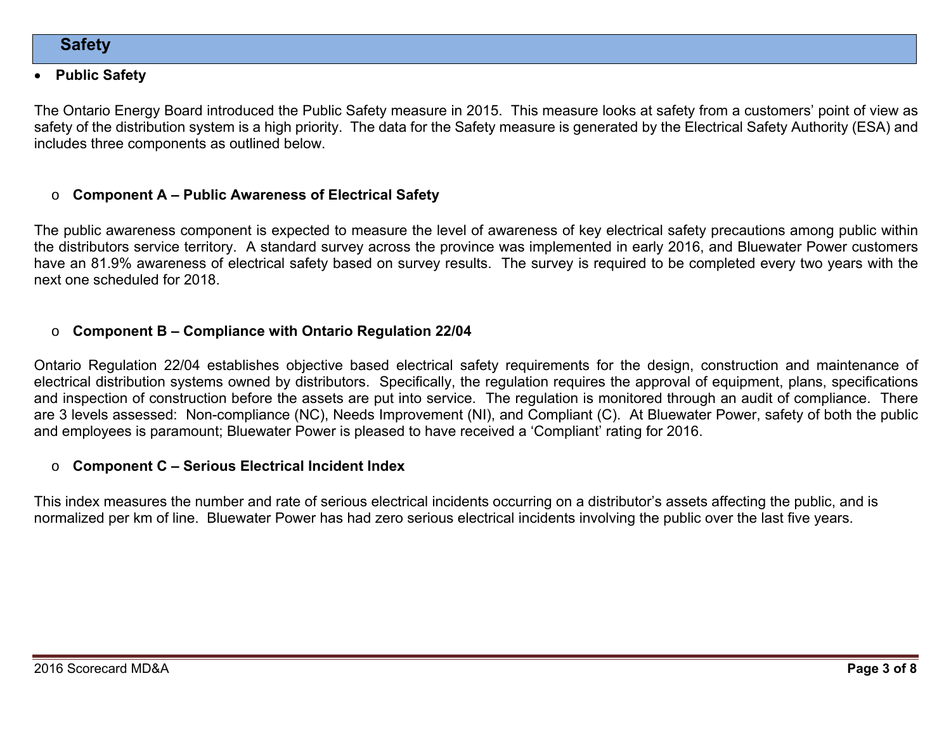#### 0 **Public Safety**

The Ontario Energy Board introduced the Public Safety measure in 2015. This measure looks at safety from a customers' point of view as safety of the distribution system is a high priority. The data for the Safety measure is generated by the Electrical Safety Authority (ESA) and includes three components as outlined below.

#### o**Component A – Public Awareness of Electrical Safety**

The public awareness component is expected to measure the level of awareness of key electrical safety precautions among public within the distributors service territory. A standard survey across the province was implemented in early 2016, and Bluewater Power customers have an 81.9% awareness of electrical safety based on survey results. The survey is required to be completed every two years with the next one scheduled for 2018.

#### o**Component B – Compliance with Ontario Regulation 22/04**

Ontario Regulation 22/04 establishes objective based electrical safety requirements for the design, construction and maintenance of electrical distribution systems owned by distributors. Specifically, the regulation requires the approval of equipment, plans, specifications and inspection of construction before the assets are put into service. The regulation is monitored through an audit of compliance. There are 3 levels assessed: Non-compliance (NC), Needs Improvement (NI), and Compliant (C). At Bluewater Power, safety of both the public and employees is paramount; Bluewater Power is pleased to have received a 'Compliant' rating for 2016.

#### o**Component C – Serious Electrical Incident Index**

This index measures the number and rate of serious electrical incidents occurring on a distributor's assets affecting the public, and is normalized per km of line. Bluewater Power has had zero serious electrical incidents involving the public over the last five years.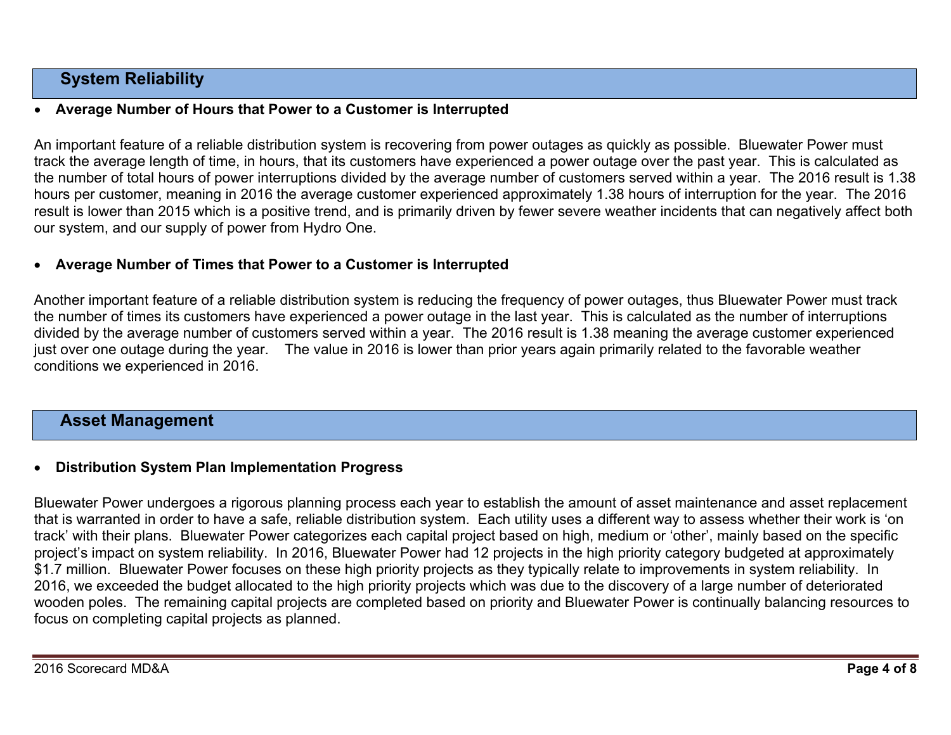## **System Reliability**

#### 0 **Average Number of Hours that Power to a Customer is Interrupted**

An important feature of a reliable distribution system is recovering from power outages as quickly as possible. Bluewater Power must track the average length of time, in hours, that its customers have experienced a power outage over the past year. This is calculated as the number of total hours of power interruptions divided by the average number of customers served within a year. The 2016 result is 1.38 hours per customer, meaning in 2016 the average customer experienced approximately 1.38 hours of interruption for the year. The 2016 result is lower than 2015 which is a positive trend, and is primarily driven by fewer severe weather incidents that can negatively affect both our system, and our supply of power from Hydro One.

### **Average Number of Times that Power to a Customer is Interrupted**

Another important feature of a reliable distribution system is reducing the frequency of power outages, thus Bluewater Power must track the number of times its customers have experienced a power outage in the last year. This is calculated as the number of interruptions divided by the average number of customers served within a year. The 2016 result is 1.38 meaning the average customer experienced just over one outage during the year. The value in 2016 is lower than prior years again primarily related to the favorable weather conditions we experienced in 2016.

## **Asset Management**

#### 0 **Distribution System Plan Implementation Progress**

Bluewater Power undergoes a rigorous planning process each year to establish the amount of asset maintenance and asset replacement that is warranted in order to have a safe, reliable distribution system. Each utility uses a different way to assess whether their work is 'on track' with their plans. Bluewater Power categorizes each capital project based on high, medium or 'other', mainly based on the specific project's impact on system reliability. In 2016, Bluewater Power had 12 projects in the high priority category budgeted at approximately \$1.7 million. Bluewater Power focuses on these high priority projects as they typically relate to improvements in system reliability. In 2016, we exceeded the budget allocated to the high priority projects which was due to the discovery of a large number of deteriorated wooden poles. The remaining capital projects are completed based on priority and Bluewater Power is continually balancing resources to focus on completing capital projects as planned.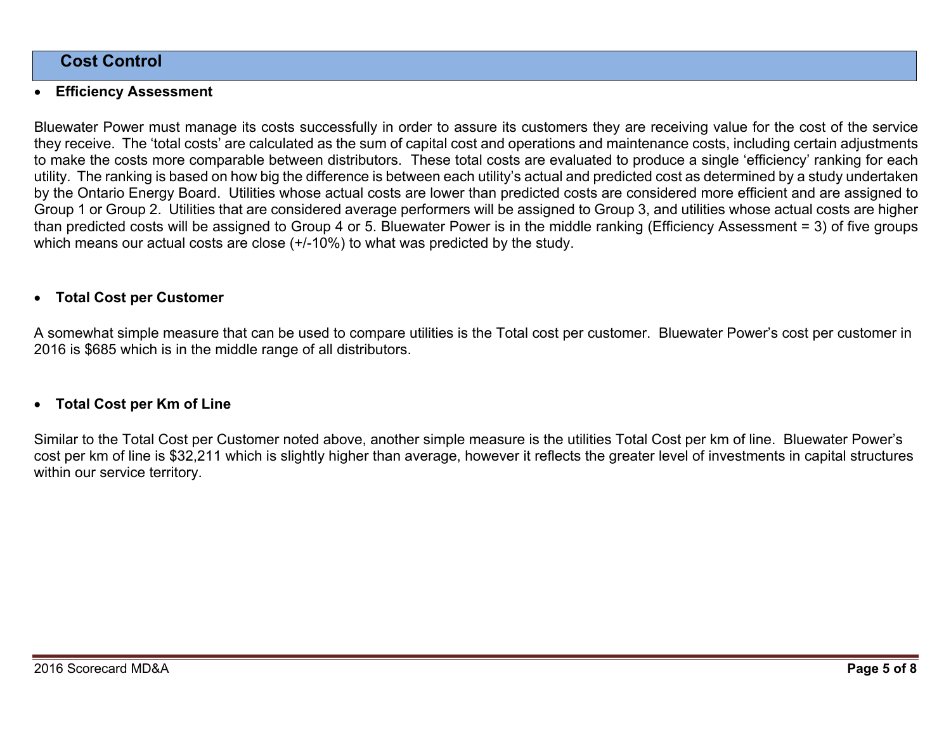## **Cost Control**

#### 0 **Efficiency Assessment**

Bluewater Power must manage its costs successfully in order to assure its customers they are receiving value for the cost of the service they receive. The 'total costs' are calculated as the sum of capital cost and operations and maintenance costs, including certain adjustments to make the costs more comparable between distributors. These total costs are evaluated to produce a single 'efficiency' ranking for each utility. The ranking is based on how big the difference is between each utility's actual and predicted cost as determined by a study undertaken by the Ontario Energy Board. Utilities whose actual costs are lower than predicted costs are considered more efficient and are assigned to Group 1 or Group 2. Utilities that are considered average performers will be assigned to Group 3, and utilities whose actual costs are higher than predicted costs will be assigned to Group 4 or 5. Bluewater Power is in the middle ranking (Efficiency Assessment = 3) of five groups which means our actual costs are close (+/-10%) to what was predicted by the study.

#### 0 **Total Cost per Customer**

A somewhat simple measure that can be used to compare utilities is the Total cost per customer. Bluewater Power's cost per customer in 2016 is \$685 which is in the middle range of all distributors.

## **Total Cost per Km of Line**

Similar to the Total Cost per Customer noted above, another simple measure is the utilities Total Cost per km of line. Bluewater Power's cost per km of line is \$32,211 which is slightly higher than average, however it reflects the greater level of investments in capital structures within our service territory.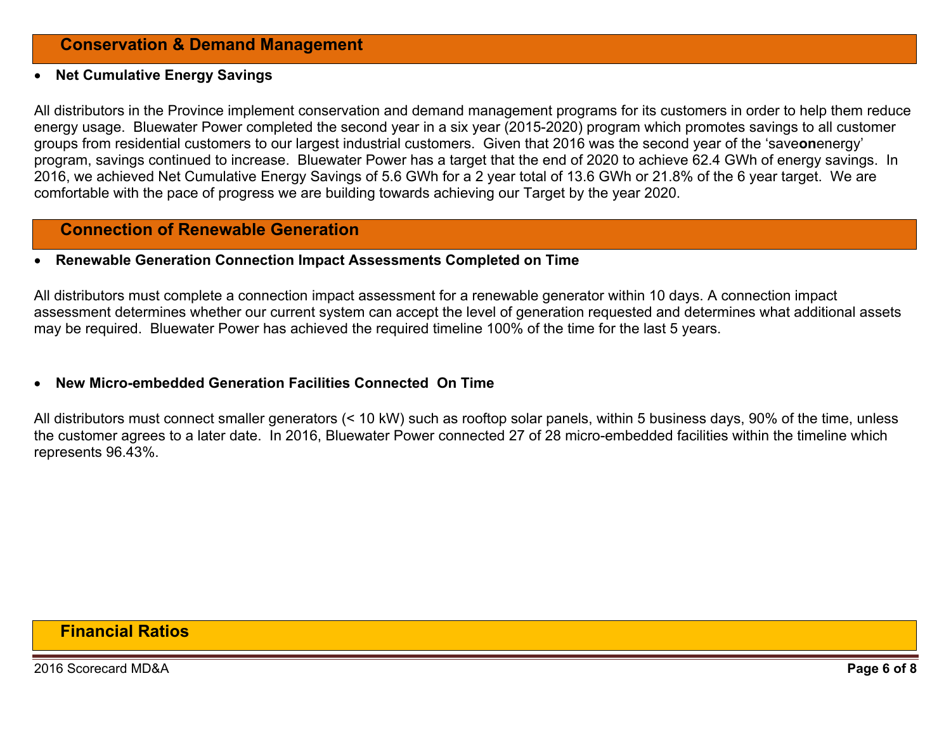#### 0 **Net Cumulative Energy Savings**

All distributors in the Province implement conservation and demand management programs for its customers in order to help them reduce energy usage. Bluewater Power completed the second year in a six year (2015-2020) program which promotes savings to all customer groups from residential customers to our largest industrial customers. Given that 2016 was the second year of the 'save**on**energy' program, savings continued to increase. Bluewater Power has a target that the end of 2020 to achieve 62.4 GWh of energy savings. In 2016, we achieved Net Cumulative Energy Savings of 5.6 GWh for a 2 year total of 13.6 GWh or 21.8% of the 6 year target. We are comfortable with the pace of progress we are building towards achieving our Target by the year 2020.

## **Connection of Renewable Generation**

### **Renewable Generation Connection Impact Assessments Completed on Time**

All distributors must complete a connection impact assessment for a renewable generator within 10 days. A connection impact assessment determines whether our current system can accept the level of generation requested and determines what additional assets may be required. Bluewater Power has achieved the required timeline 100% of the time for the last 5 years.

#### 0 **New Micro-embedded Generation Facilities Connected On Time**

All distributors must connect smaller generators (< 10 kW) such as rooftop solar panels, within 5 business days, 90% of the time, unless the customer agrees to a later date. In 2016, Bluewater Power connected 27 of 28 micro-embedded facilities within the timeline which represents 96.43%.

## **Financial Ratios**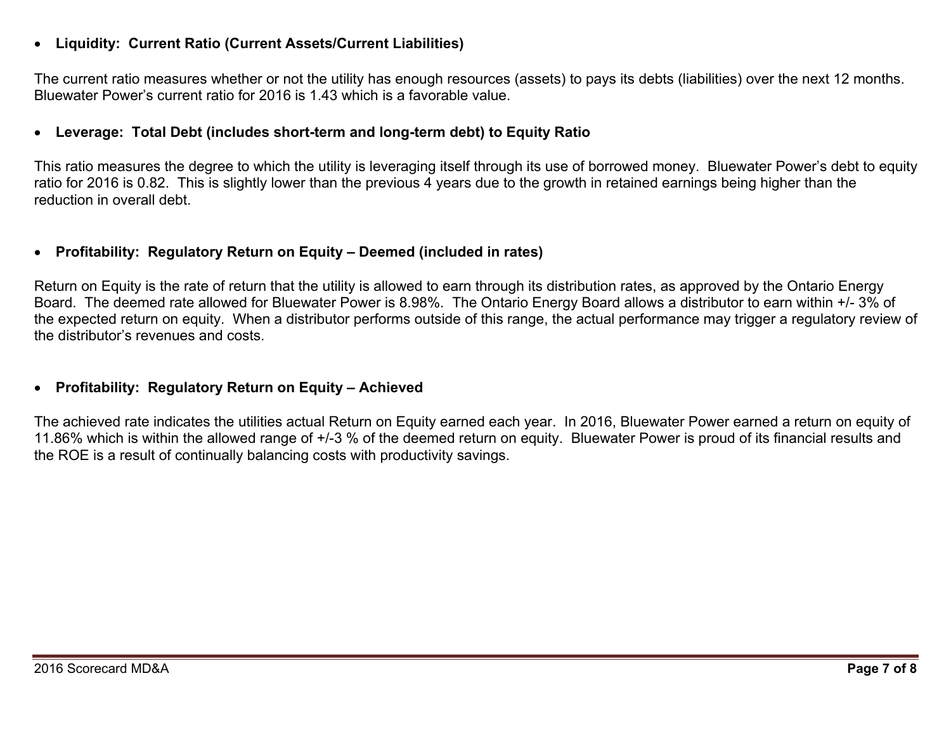#### 0 **Liquidity: Current Ratio (Current Assets/Current Liabilities)**

The current ratio measures whether or not the utility has enough resources (assets) to pays its debts (liabilities) over the next 12 months. Bluewater Power's current ratio for 2016 is 1.43 which is a favorable value.

#### 0 **Leverage: Total Debt (includes short-term and long-term debt) to Equity Ratio**

This ratio measures the degree to which the utility is leveraging itself through its use of borrowed money. Bluewater Power's debt to equity ratio for 2016 is 0.82. This is slightly lower than the previous 4 years due to the growth in retained earnings being higher than the reduction in overall debt.

#### 0 **Profitability: Regulatory Return on Equity – Deemed (included in rates)**

Return on Equity is the rate of return that the utility is allowed to earn through its distribution rates, as approved by the Ontario Energy Board. The deemed rate allowed for Bluewater Power is 8.98%. The Ontario Energy Board allows a distributor to earn within +/- 3% of the expected return on equity. When a distributor performs outside of this range, the actual performance may trigger a regulatory review of the distributor's revenues and costs.

## **Profitability: Regulatory Return on Equity – Achieved**

The achieved rate indicates the utilities actual Return on Equity earned each year. In 2016, Bluewater Power earned a return on equity of 11.86% which is within the allowed range of +/-3 % of the deemed return on equity. Bluewater Power is proud of its financial results and the ROE is a result of continually balancing costs with productivity savings.